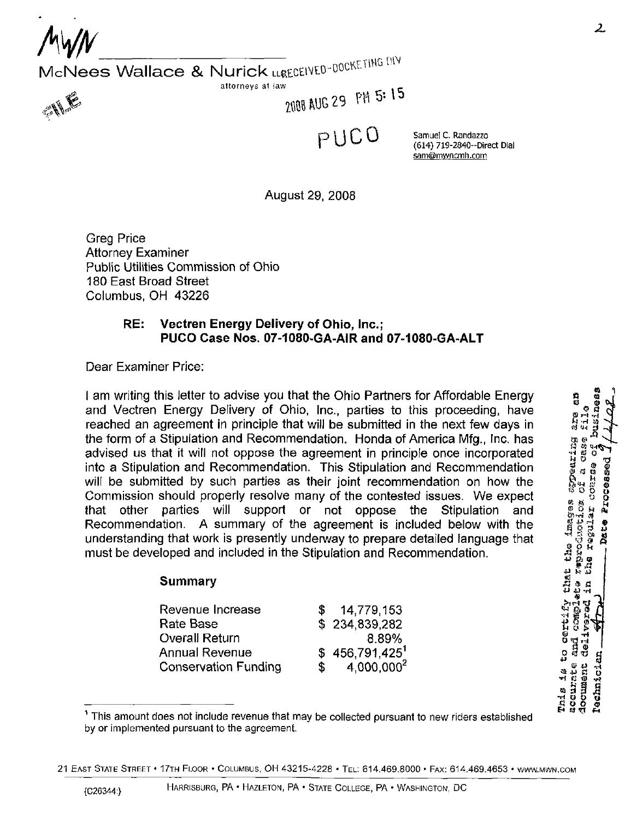$M$ iv $M_{\perp}$ 

 $M_c$ Nees Wallace & Nurick LLEFCEIVED-OOCKETING LITY

attorneys at law  $\blacksquare$ 

PUCO Samuel C. Randazzo

(614) 719-2840-Direct Dial [sam@mwncmh.com](mailto:sam@mwncmh.com)

August 29, 2008

Greg Price Attorney Examiner Public Utilities Commission of Ohio 180 East Broad Street Columbus, OH 43226

## RE: Vectren Energy Delivery of Ohio, Inc.; PUCO Case Nos. 07-1080-GA-AIR and 07-1080-GA-ALT

Dear Examiner Price:

I am writing this letter to advise you that the Ohio Partners for Affordable Energy and Vectren Energy Delivery of Ohio, Inc., parties to this proceeding, have  $\frac{1}{6}$  reached an agreement in principle that will be submitted in the next few days in reached an agreement in principle that will be submitted in the next few days in the form of a Stipulation and Recommendation. Honda of America Mfg., Inc. has advised us that it will not oppose the agreement in principle once incorporated  $\frac{1}{12}$  is into a Stipulation and Recommendation. This Stipu advised us that it will not oppose the agreement in principle once incorporated into a Stipulation and Recommendation. This Stipulation and Recommendation will be submitted by such parties as their joint recommendation on how the Commission should properly resolve many of the contested issues. We expect<br>that other parties will support or not oppose the Stipulation and<br>Recommendation. A summary of the agreement is included below with the<br>understand that other parties will support or not oppose the Stipulation and  $\frac{600}{800}$  Recommendation. A summary of the agreement is included below with the  $\frac{6000}{800}$  and  $\frac{1}{20}$  and  $\frac{1}{20}$  and  $\frac{1}{20}$  and  $\frac{1}{2$ Recommendation. A summary of the agreement is included below with the understanding that work is presently underway to prepare detailed language that must be developed and included in the Stipulation and Recommendation.

## Summary

| Revenue Increase            |               | 14,779,153                  |
|-----------------------------|---------------|-----------------------------|
| Rate Base                   |               | \$234,839,282               |
| <b>Overall Return</b>       |               | 8.89%                       |
| <b>Annual Revenue</b>       |               | $$456,791,425$ <sup>1</sup> |
| <b>Conservation Funding</b> | $\mathcal{S}$ | 4,000,000 <sup>2</sup>      |

that the images appearing This is to certify accurate and comp Aocument rechnici

<sup>&</sup>lt;sup>1</sup> This amount does not include revenue that may be collected pursuant to new riders established by or implemented pursuant to the agreement.

<sup>21</sup> EAST STATE STREET < 17TH FLOOR • COLUMBUS, OH 43215-4228 • TEL: 614.469.8000 • FAX: 614.469.4653 • [WWW.MWN.COM](http://www.mwn.com)